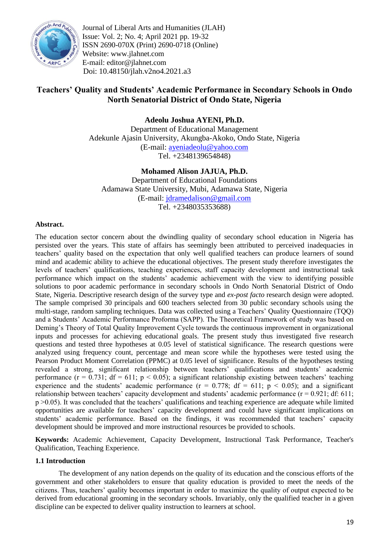

Journal of Liberal Arts and Humanities (JLAH) Issue: Vol. 2; No. 4; April 2021 pp. 19-32 ISSN 2690-070X (Print) 2690-0718 (Online) Website: www.jlahnet.com E-mail: editor@jlahnet.com Doi: 10.48150/jlah.v2no4.2021.a3

# **Teachers' Quality and Students' Academic Performance in Secondary Schools in Ondo North Senatorial District of Ondo State, Nigeria**

**Adeolu Joshua AYENI, Ph.D.** Department of Educational Management Adekunle Ajasin University, Akungba-Akoko, Ondo State, Nigeria (E-mail: [ayeniadeolu@yahoo.com](mailto:ayeniadeolu@yahoo.com) Tel. +2348139654848)

**Mohamed Alison JAJUA, Ph.D.** Department of Educational Foundations Adamawa State University, Mubi, Adamawa State, Nigeria (E-mail: [jdramedalison@gmail.com](mailto:jdramedalison@gmail.com) Tel. +2348035353688)

# **Abstract.**

The education sector concern about the dwindling quality of secondary school education in Nigeria has persisted over the years. This state of affairs has seemingly been attributed to perceived inadequacies in teachers' quality based on the expectation that only well qualified teachers can produce learners of sound mind and academic ability to achieve the educational objectives. The present study therefore investigates the levels of teachers' qualifications, teaching experiences, staff capacity development and instructional task performance which impact on the students' academic achievement with the view to identifying possible solutions to poor academic performance in secondary schools in Ondo North Senatorial District of Ondo State, Nigeria. Descriptive research design of the survey type and *ex-post facto* research design were adopted. The sample comprised 30 principals and 600 teachers selected from 30 public secondary schools using the multi-stage, random sampling techniques. Data was collected using a Teachers' Quality Questionnaire (TQQ) and a Students' Academic Performance Proforma (SAPP). The Theoretical Framework of study was based on Deming's Theory of Total Quality Improvement Cycle towards the continuous improvement in organizational inputs and processes for achieving educational goals. The present study thus investigated five research questions and tested three hypotheses at 0.05 level of statistical significance. The research questions were analyzed using frequency count, percentage and mean score while the hypotheses were tested using the Pearson Product Moment Correlation (PPMC) at 0.05 level of significance. Results of the hypotheses testing revealed a strong, significant relationship between teachers' qualifications and students' academic performance ( $r = 0.731$ ; df = 611;  $p < 0.05$ ); a significant relationship existing between teachers' teaching experience and the students' academic performance  $(r = 0.778; df = 611; p < 0.05)$ ; and a significant relationship between teachers' capacity development and students' academic performance ( $r = 0.921$ ; df: 611; p >0.05). It was concluded that the teachers' qualifications and teaching experience are adequate while limited opportunities are available for teachers' capacity development and could have significant implications on students' academic performance. Based on the findings, it was recommended that teachers' capacity development should be improved and more instructional resources be provided to schools.

**Keywords:** Academic Achievement, Capacity Development, Instructional Task Performance, Teacher's Qualification, Teaching Experience.

# **1.1 Introduction**

The development of any nation depends on the quality of its education and the conscious efforts of the government and other stakeholders to ensure that quality education is provided to meet the needs of the citizens. Thus, teachers' quality becomes important in order to maximize the quality of output expected to be derived from educational grooming in the secondary schools. Invariably, only the qualified teacher in a given discipline can be expected to deliver quality instruction to learners at school.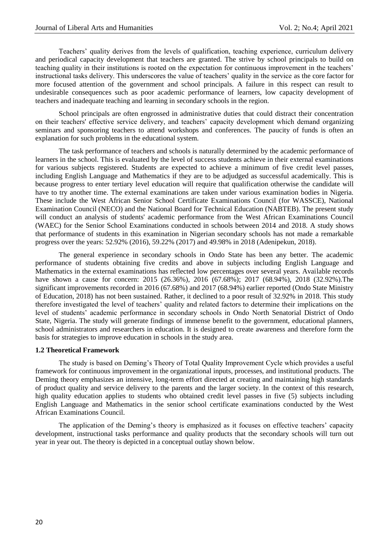Teachers' quality derives from the levels of qualification, teaching experience, curriculum delivery and periodical capacity development that teachers are granted. The strive by school principals to build on teaching quality in their institutions is rooted on the expectation for continuous improvement in the teachers' instructional tasks delivery. This underscores the value of teachers' quality in the service as the core factor for more focused attention of the government and school principals. A failure in this respect can result to undesirable consequences such as poor academic performance of learners, low capacity development of teachers and inadequate teaching and learning in secondary schools in the region.

School principals are often engrossed in administrative duties that could distract their concentration on their teachers' effective service delivery, and teachers' capacity development which demand organizing seminars and sponsoring teachers to attend workshops and conferences. The paucity of funds is often an explanation for such problems in the educational system.

The task performance of teachers and schools is naturally determined by the academic performance of learners in the school. This is evaluated by the level of success students achieve in their external examinations for various subjects registered. Students are expected to achieve a minimum of five credit level passes, including English Language and Mathematics if they are to be adjudged as successful academically. This is because progress to enter tertiary level education will require that qualification otherwise the candidate will have to try another time. The external examinations are taken under various examination bodies in Nigeria. These include the West African Senior School Certificate Examinations Council (for WASSCE), National Examination Council (NECO) and the National Board for Technical Education (NABTEB). The present study will conduct an analysis of students' academic performance from the West African Examinations Council (WAEC) for the Senior School Examinations conducted in schools between 2014 and 2018. A study shows that performance of students in this examination in Nigerian secondary schools has not made a remarkable progress over the years: 52.92% (2016), 59.22% (2017) and 49.98% in 2018 (Adenipekun, 2018).

The general experience in secondary schools in Ondo State has been any better. The academic performance of students obtaining five credits and above in subjects including English Language and Mathematics in the external examinations has reflected low percentages over several years. Available records have shown a cause for concern: 2015 (26.36%), 2016 (67.68%); 2017 (68.94%), 2018 (32.92%). The significant improvements recorded in 2016 (67.68%) and 2017 (68.94%) earlier reported (Ondo State Ministry of Education, 2018) has not been sustained. Rather, it declined to a poor result of 32.92% in 2018. This study therefore investigated the level of teachers' quality and related factors to determine their implications on the level of students' academic performance in secondary schools in Ondo North Senatorial District of Ondo State, Nigeria. The study will generate findings of immense benefit to the government, educational planners, school administrators and researchers in education. It is designed to create awareness and therefore form the basis for strategies to improve education in schools in the study area.

# **1.2 Theoretical Framework**

The study is based on Deming's Theory of Total Quality Improvement Cycle which provides a useful framework for continuous improvement in the organizational inputs, processes, and institutional products. The Deming theory emphasizes an intensive, long-term effort directed at creating and maintaining high standards of product quality and service delivery to the parents and the larger society. In the context of this research, high quality education applies to students who obtained credit level passes in five (5) subjects including English Language and Mathematics in the senior school certificate examinations conducted by the West African Examinations Council.

The application of the Deming's theory is emphasized as it focuses on effective teachers' capacity development, instructional tasks performance and quality products that the secondary schools will turn out year in year out. The theory is depicted in a conceptual outlay shown below.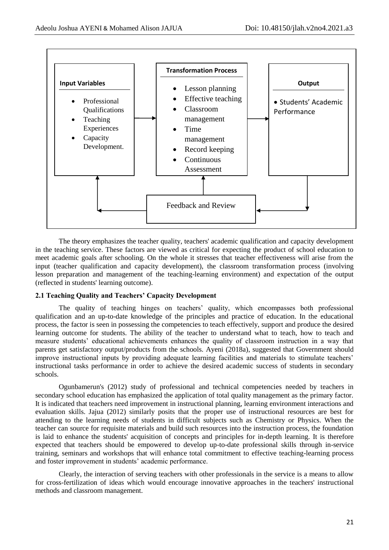

The theory emphasizes the teacher quality, teachers' academic qualification and capacity development in the teaching service. These factors are viewed as critical for expecting the product of school education to meet academic goals after schooling. On the whole it stresses that teacher effectiveness will arise from the input (teacher qualification and capacity development), the classroom transformation process (involving lesson preparation and management of the teaching-learning environment) and expectation of the output (reflected in students' learning outcome).

# **2.1 Teaching Quality and Teachers' Capacity Development**

The quality of teaching hinges on teachers' quality, which encompasses both professional qualification and an up-to-date knowledge of the principles and practice of education. In the educational process, the factor is seen in possessing the competencies to teach effectively, support and produce the desired learning outcome for students. The ability of the teacher to understand what to teach, how to teach and measure students' educational achievements enhances the quality of classroom instruction in a way that parents get satisfactory output/products from the schools. Ayeni (2018a), suggested that Government should improve instructional inputs by providing adequate learning facilities and materials to stimulate teachers' instructional tasks performance in order to achieve the desired academic success of students in secondary schools.

Ogunbamerun's (2012) study of professional and technical competencies needed by teachers in secondary school education has emphasized the application of total quality management as the primary factor. It is indicated that teachers need improvement in instructional planning, learning environment interactions and evaluation skills. Jajua (2012) similarly posits that the proper use of instructional resources are best for attending to the learning needs of students in difficult subjects such as Chemistry or Physics. When the teacher can source for requisite materials and build such resources into the instruction process, the foundation is laid to enhance the students' acquisition of concepts and principles for in-depth learning. It is therefore expected that teachers should be empowered to develop up-to-date professional skills through in-service training, seminars and workshops that will enhance total commitment to effective teaching-learning process and foster improvement in students' academic performance.

Clearly, the interaction of serving teachers with other professionals in the service is a means to allow for cross-fertilization of ideas which would encourage innovative approaches in the teachers' instructional methods and classroom management.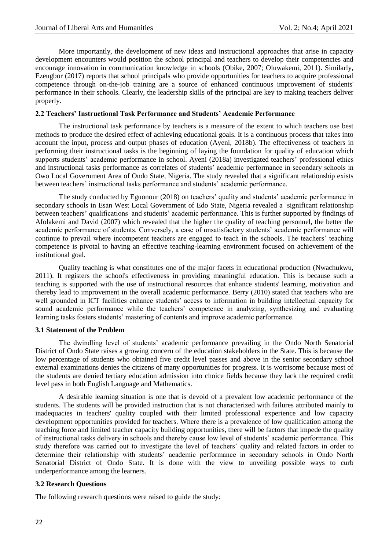More importantly, the development of new ideas and instructional approaches that arise in capacity development encounters would position the school principal and teachers to develop their competencies and encourage innovation in communication knowledge in schools (Obike, 2007; Oluwakemi, 2011). Similarly, Ezeugbor (2017) reports that school principals who provide opportunities for teachers to acquire professional competence through on-the-job training are a source of enhanced continuous improvement of students' performance in their schools. Clearly, the leadership skills of the principal are key to making teachers deliver properly.

# **2.2 Teachers' Instructional Task Performance and Students' Academic Performance**

The instructional task performance by teachers is a measure of the extent to which teachers use best methods to produce the desired effect of achieving educational goals. It is a continuous process that takes into account the input, process and output phases of education (Ayeni, 2018b). The effectiveness of teachers in performing their instructional tasks is the beginning of laying the foundation for quality of education which supports students' academic performance in school. Ayeni (2018a) investigated teachers' professional ethics and instructional tasks performance as correlates of students' academic performance in secondary schools in Owo Local Government Area of Ondo State, Nigeria. The study revealed that a significant relationship exists between teachers' instructional tasks performance and students' academic performance.

The study conducted by Eguonour (2018) on teachers' quality and students' academic performance in secondary schools in Esan West Local Government of Edo State, Nigeria revealed a significant relationship between teachers' qualifications and students' academic performance. This is further supported by findings of Afolakemi and David (2007) which revealed that the higher the quality of teaching personnel, the better the academic performance of students. Conversely, a case of unsatisfactory students' academic performance will continue to prevail where incompetent teachers are engaged to teach in the schools. The teachers' teaching competence is pivotal to having an effective teaching-learning environment focused on achievement of the institutional goal.

Quality teaching is what constitutes one of the major facets in educational production (Nwachukwu, 2011). It registers the school's effectiveness in providing meaningful education. This is because such a teaching is supported with the use of instructional resources that enhance students' learning, motivation and thereby lead to improvement in the overall academic performance. Berry (2010) stated that teachers who are well grounded in ICT facilities enhance students' access to information in building intellectual capacity for sound academic performance while the teachers' competence in analyzing, synthesizing and evaluating learning tasks fosters students' mastering of contents and improve academic performance.

# **3.1 Statement of the Problem**

The dwindling level of students' academic performance prevailing in the Ondo North Senatorial District of Ondo State raises a growing concern of the education stakeholders in the State. This is because the low percentage of students who obtained five credit level passes and above in the senior secondary school external examinations denies the citizens of many opportunities for progress. It is worrisome because most of the students are denied tertiary education admission into choice fields because they lack the required credit level pass in both English Language and Mathematics.

A desirable learning situation is one that is devoid of a prevalent low academic performance of the students. The students will be provided instruction that is not characterized with failures attributed mainly to inadequacies in teachers' quality coupled with their limited professional experience and low capacity development opportunities provided for teachers. Where there is a prevalence of low qualification among the teaching force and limited teacher capacity building opportunities, there will be factors that impede the quality of instructional tasks delivery in schools and thereby cause low level of students' academic performance. This study therefore was carried out to investigate the level of teachers' quality and related factors in order to determine their relationship with students' academic performance in secondary schools in Ondo North Senatorial District of Ondo State. It is done with the view to unveiling possible ways to curb underperformance among the learners.

# **3.2 Research Questions**

The following research questions were raised to guide the study: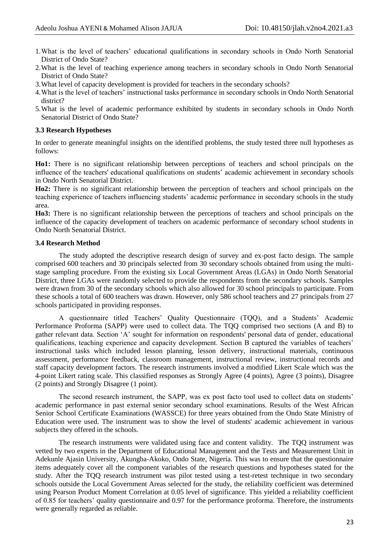- 1.What is the level of teachers' educational qualifications in secondary schools in Ondo North Senatorial District of Ondo State?
- 2.What is the level of teaching experience among teachers in secondary schools in Ondo North Senatorial District of Ondo State?
- 3.What level of capacity development is provided for teachers in the secondary schools?
- 4.What is the level of teachers' instructional tasks performance in secondary schools in Ondo North Senatorial district?
- 5.What is the level of academic performance exhibited by students in secondary schools in Ondo North Senatorial District of Ondo State?

#### **3.3 Research Hypotheses**

In order to generate meaningful insights on the identified problems, the study tested three null hypotheses as follows:

**Ho1:** There is no significant relationship between perceptions of teachers and school principals on the influence of the teachers' educational qualifications on students' academic achievement in secondary schools in Ondo North Senatorial District.

**Ho2:** There is no significant relationship between the perception of teachers and school principals on the teaching experience of teachers influencing students' academic performance in secondary schools in the study area.

**Ho3:** There is no significant relationship between the perceptions of teachers and school principals on the influence of the capacity development of teachers on academic performance of secondary school students in Ondo North Senatorial District.

#### **3.4 Research Method**

The study adopted the descriptive research design of survey and ex-post facto design. The sample comprised 600 teachers and 30 principals selected from 30 secondary schools obtained from using the multistage sampling procedure. From the existing six Local Government Areas (LGAs) in Ondo North Senatorial District, three LGAs were randomly selected to provide the respondents from the secondary schools. Samples were drawn from 30 of the secondary schools which also allowed for 30 school principals to participate. From these schools a total of 600 teachers was drawn. However, only 586 school teachers and 27 principals from 27 schools participated in providing responses.

A questionnaire titled Teachers' Quality Questionnaire (TQQ), and a Students' Academic Performance Proforma (SAPP) were used to collect data. The TQQ comprised two sections (A and B) to gather relevant data. Section 'A' sought for information on respondents' personal data of gender, educational qualifications, teaching experience and capacity development. Section B captured the variables of teachers' instructional tasks which included lesson planning, lesson delivery, instructional materials, continuous assessment, performance feedback, classroom management, instructional review, instructional records and staff capacity development factors. The research instruments involved a modified Likert Scale which was the 4-point Likert rating scale. This classified responses as Strongly Agree (4 points), Agree (3 points), Disagree (2 points) and Strongly Disagree (1 point).

The second research instrument, the SAPP, was ex post facto tool used to collect data on students' academic performance in past external senior secondary school examinations. Results of the West African Senior School Certificate Examinations (WASSCE) for three years obtained from the Ondo State Ministry of Education were used. The instrument was to show the level of students' academic achievement in various subjects they offered in the schools.

The research instruments were validated using face and content validity. The TQQ instrument was vetted by two experts in the Department of Educational Management and the Tests and Measurement Unit in Adekunle Ajasin University, Akungba-Akoko, Ondo State, Nigeria. This was to ensure that the questionnaire items adequately cover all the component variables of the research questions and hypotheses stated for the study. After the TOO research instrument was pilot tested using a test-retest technique in two secondary schools outside the Local Government Areas selected for the study, the reliability coefficient was determined using Pearson Product Moment Correlation at 0.05 level of significance. This yielded a reliability coefficient of 0.85 for teachers' quality questionnaire and 0.97 for the performance proforma. Therefore, the instruments were generally regarded as reliable.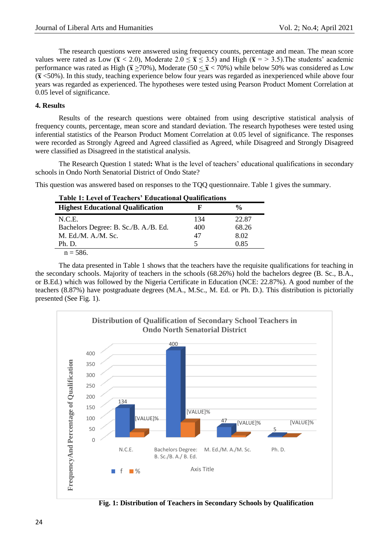The research questions were answered using frequency counts, percentage and mean. The mean score values were rated as Low ( $\bar{x}$  < 2.0), Moderate 2.0  $\leq \bar{x} \leq 3.5$ ) and High ( $\bar{x}$  = > 3.5). The students' academic performance was rated as High ( $\bar{x}$  >70%), Moderate (50  $\leq \bar{x}$  < 70%) while below 50% was considered as Low  $\overline{\sigma}$   $\overline{\sigma}$  <50%). In this study, teaching experience below four years was regarded as inexperienced while above four years was regarded as experienced. The hypotheses were tested using Pearson Product Moment Correlation at 0.05 level of significance.

# **4. Results**

Results of the research questions were obtained from using descriptive statistical analysis of frequency counts, percentage, mean score and standard deviation. The research hypotheses were tested using inferential statistics of the Pearson Product Moment Correlation at 0.05 level of significance. The responses were recorded as Strongly Agreed and Agreed classified as Agreed, while Disagreed and Strongly Disagreed were classified as Disagreed in the statistical analysis.

The Research Question 1 stated**:** What is the level of teachers' educational qualifications in secondary schools in Ondo North Senatorial District of Ondo State?

This question was answered based on responses to the TQQ questionnaire. Table 1 gives the summary.

| <b>Table 1: Level of Teachers' Educational Qualifications</b> |     |                |  |  |  |  |  |
|---------------------------------------------------------------|-----|----------------|--|--|--|--|--|
| <b>Highest Educational Qualification</b>                      |     | $\frac{6}{10}$ |  |  |  |  |  |
| N.C.E.                                                        | 134 | 22.87          |  |  |  |  |  |
| Bachelors Degree: B. Sc./B. A./B. Ed.                         | 400 | 68.26          |  |  |  |  |  |
| M. Ed./M. A./M. Sc.                                           | 47  | 8.02           |  |  |  |  |  |
| Ph. D.                                                        | 5   | 0.85           |  |  |  |  |  |
| $n = 586$ .                                                   |     |                |  |  |  |  |  |

The data presented in Table 1 shows that the teachers have the requisite qualifications for teaching in the secondary schools. Majority of teachers in the schools (68.26%) hold the bachelors degree (B. Sc., B.A., or B.Ed.) which was followed by the Nigeria Certificate in Education (NCE: 22.87%). A good number of the teachers (8.87%) have postgraduate degrees (M.A., M.Sc., M. Ed. or Ph. D.). This distribution is pictorially presented (See Fig. 1).



**Fig. 1: Distribution of Teachers in Secondary Schools by Qualification**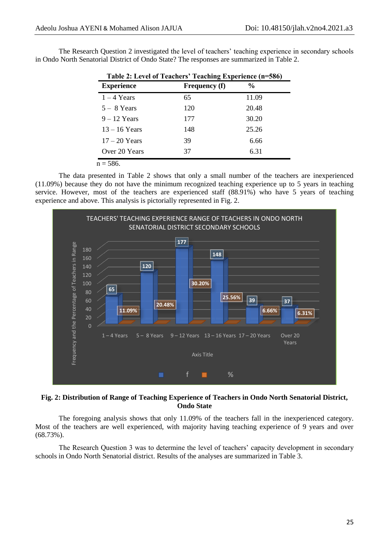|                   | Table 2: Level of Teachers' Teaching Experience (n=586) |               |
|-------------------|---------------------------------------------------------|---------------|
| <b>Experience</b> | <b>Frequency (f)</b>                                    | $\frac{6}{9}$ |
| $1 - 4$ Years     | 65                                                      | 11.09         |
| $5 - 8$ Years     | 120                                                     | 20.48         |
| $9 - 12$ Years    | 177                                                     | 30.20         |
| $13 - 16$ Years   | 148                                                     | 25.26         |
| $17 - 20$ Years   | 39                                                      | 6.66          |
| Over 20 Years     | 37                                                      | 6.31          |
| $n = 506$         |                                                         |               |

The Research Question 2 investigated the level of teachers' teaching experience in secondary schools in Ondo North Senatorial District of Ondo State? The responses are summarized in Table 2.

 $n = 586$ .

The data presented in Table 2 shows that only a small number of the teachers are inexperienced (11.09%) because they do not have the minimum recognized teaching experience up to 5 years in teaching service. However, most of the teachers are experienced staff (88.91%) who have 5 years of teaching experience and above. This analysis is pictorially represented in Fig. 2.



# **Fig. 2: Distribution of Range of Teaching Experience of Teachers in Ondo North Senatorial District, Ondo State**

The foregoing analysis shows that only 11.09% of the teachers fall in the inexperienced category. Most of the teachers are well experienced, with majority having teaching experience of 9 years and over (68.73%).

The Research Question 3 was to determine the level of teachers' capacity development in secondary schools in Ondo North Senatorial district. Results of the analyses are summarized in Table 3.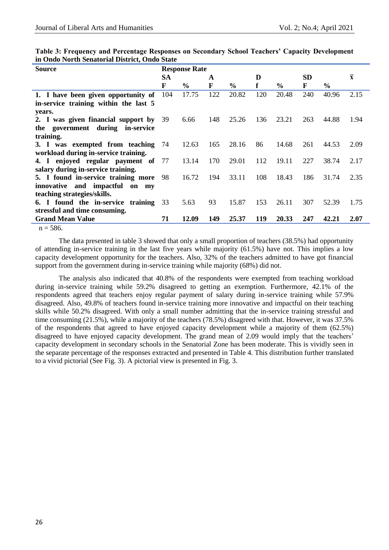| <b>Source</b>                         |     | <b>Response Rate</b> |     |               |     |               |           |               |           |
|---------------------------------------|-----|----------------------|-----|---------------|-----|---------------|-----------|---------------|-----------|
|                                       | SA  |                      | A   |               | D   |               | <b>SD</b> |               | $\bar{x}$ |
|                                       | F   | $\%$                 | F   | $\frac{6}{9}$ | f   | $\frac{6}{9}$ | F         | $\frac{0}{0}$ |           |
| 1. I have been given opportunity of   | 104 | 17.75                | 122 | 20.82         | 120 | 20.48         | 240       | 40.96         | 2.15      |
| in-service training within the last 5 |     |                      |     |               |     |               |           |               |           |
| years.                                |     |                      |     |               |     |               |           |               |           |
| 2. I was given financial support by   | 39  | 6.66                 | 148 | 25.26         | 136 | 23.21         | 263       | 44.88         | 1.94      |
| the government during in-service      |     |                      |     |               |     |               |           |               |           |
| training.                             |     |                      |     |               |     |               |           |               |           |
| 3. I was exempted from teaching       | -74 | 12.63                | 165 | 28.16         | 86  | 14.68         | 261       | 44.53         | 2.09      |
| workload during in-service training.  |     |                      |     |               |     |               |           |               |           |
| 4. I enjoyed regular payment of 77    |     | 13.14                | 170 | 29.01         | 112 | 19.11         | 227       | 38.74         | 2.17      |
| salary during in-service training.    |     |                      |     |               |     |               |           |               |           |
| 5. I found in-service training more   | 98  | 16.72                | 194 | 33.11         | 108 | 18.43         | 186       | 31.74         | 2.35      |
| innovative and impactful on my        |     |                      |     |               |     |               |           |               |           |
| teaching strategies/skills.           |     |                      |     |               |     |               |           |               |           |
| 6. I found the in-service training    | 33  | 5.63                 | 93  | 15.87         | 153 | 26.11         | 307       | 52.39         | 1.75      |
| stressful and time consuming.         |     |                      |     |               |     |               |           |               |           |
| <b>Grand Mean Value</b>               | 71  | 12.09                | 149 | 25.37         | 119 | 20.33         | 247       | 42.21         | 2.07      |

**Table 3: Frequency and Percentage Responses on Secondary School Teachers' Capacity Development in Ondo North Senatorial District, Ondo State**

 $n = 586$ .

The data presented in table 3 showed that only a small proportion of teachers (38.5%) had opportunity of attending in-service training in the last five years while majority (61.5%) have not. This implies a low capacity development opportunity for the teachers. Also, 32% of the teachers admitted to have got financial support from the government during in-service training while majority (68%) did not.

The analysis also indicated that 40.8% of the respondents were exempted from teaching workload during in-service training while 59.2% disagreed to getting an exemption. Furthermore, 42.1% of the respondents agreed that teachers enjoy regular payment of salary during in-service training while 57.9% disagreed. Also, 49.8% of teachers found in-service training more innovative and impactful on their teaching skills while 50.2% disagreed. With only a small number admitting that the in-service training stressful and time consuming (21.5%), while a majority of the teachers (78.5%) disagreed with that. However, it was 37.5% of the respondents that agreed to have enjoyed capacity development while a majority of them (62.5%) disagreed to have enjoyed capacity development. The grand mean of 2.09 would imply that the teachers' capacity development in secondary schools in the Senatorial Zone has been moderate. This is vividly seen in the separate percentage of the responses extracted and presented in Table 4. This distribution further translated to a vivid pictorial (See Fig. 3). A pictorial view is presented in Fig. 3.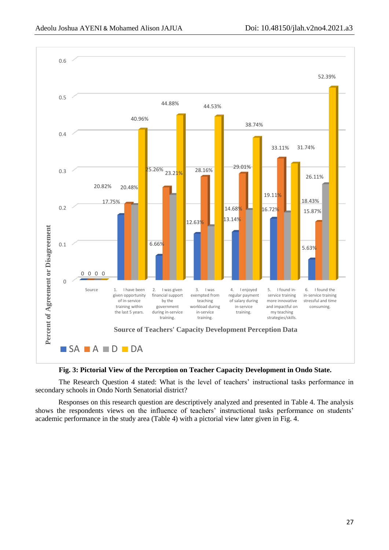



The Research Question 4 stated: What is the level of teachers' instructional tasks performance in secondary schools in Ondo North Senatorial district?

Responses on this research question are descriptively analyzed and presented in Table 4. The analysis shows the respondents views on the influence of teachers' instructional tasks performance on students' academic performance in the study area (Table 4) with a pictorial view later given in Fig. 4.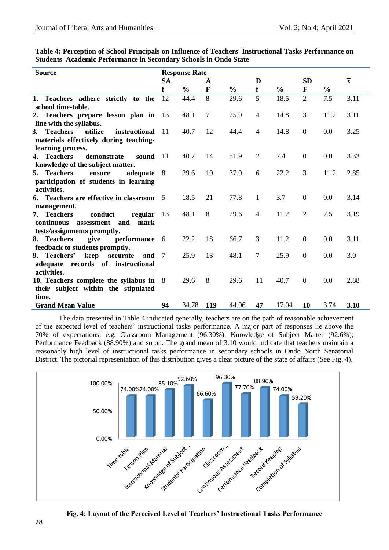| <b>Source</b>                                                                                                    |                 | <b>Response Rate</b> |                 |               |                |               |                           |               |                         |
|------------------------------------------------------------------------------------------------------------------|-----------------|----------------------|-----------------|---------------|----------------|---------------|---------------------------|---------------|-------------------------|
|                                                                                                                  | <b>SA</b><br>f  | $\frac{0}{0}$        | A<br>F          | $\frac{0}{0}$ | D<br>f         | $\frac{0}{0}$ | <b>SD</b><br>$\mathbf{F}$ | $\frac{0}{0}$ | $\overline{\mathbf{x}}$ |
| 1. Teachers adhere strictly to the<br>school time-table.                                                         | 12              | 44.4                 | 8               | 29.6          | 5              | 18.5          | $\overline{2}$            | 7.5           | 3.11                    |
| 2. Teachers prepare lesson plan in 13<br>line with the syllabus.                                                 |                 | 48.1                 | $7\phantom{.0}$ | 25.9          | $\overline{4}$ | 14.8          | 3                         | 11.2          | 3.11                    |
| utilize<br><b>Teachers</b><br>instructional<br>3.<br>materials effectively during teaching-<br>learning process. | 11              | 40.7                 | 12              | 44.4          | $\overline{4}$ | 14.8          | $\overline{0}$            | 0.0           | 3.25                    |
| 4. Teachers<br>demonstrate<br>sound<br>knowledge of the subject matter.                                          | $\overline{11}$ | 40.7                 | 14              | 51.9          | $\overline{2}$ | 7.4           | $\boldsymbol{0}$          | 0.0           | 3.33                    |
| 5. Teachers<br>adequate<br>ensure<br>participation of students in learning<br>activities.                        | 8               | 29.6                 | 10              | 37.0          | 6              | 22.2          | 3                         | 11.2          | 2.85                    |
| 6. Teachers are effective in classroom 5<br>management.                                                          |                 | 18.5                 | 21              | 77.8          | $\mathbf{1}$   | 3.7           | $\boldsymbol{0}$          | 0.0           | 3.14                    |
| 7. Teachers<br>regular 13<br>conduct<br>continuous<br>assessment and<br>mark<br>tests/assignments promptly.      |                 | 48.1                 | 8               | 29.6          | $\overline{4}$ | 11.2          | $\overline{2}$            | 7.5           | 3.19                    |
| performance<br>8. Teachers<br>give<br>feedback to students promptly.                                             | 6               | 22.2                 | 18              | 66.7          | 3              | 11.2          | $\overline{0}$            | 0.0           | 3.11                    |
| 9. Teachers'<br>keep<br>accurate<br>and<br>records of instructional<br>adequate<br>activities.                   | 7               | 25.9                 | 13              | 48.1          | $\overline{7}$ | 25.9          | $\boldsymbol{0}$          | 0.0           | 3.0                     |
| 10. Teachers complete the syllabus in 8<br>their subject within the stipulated<br>time.                          |                 | 29.6                 | 8               | 29.6          | 11             | 40.7          | $\overline{0}$            | 0.0           | 2.88                    |
| <b>Grand Mean Value</b>                                                                                          | 94              | 34.78                | 119             | 44.06         | 47             | 17.04         | 10                        | 3.74          | 3.10                    |

**Table 4: Perception of School Principals on Influence of Teachers' Instructional Tasks Performance on Students' Academic Performance in Secondary Schools in Ondo State**

The data presented in Table 4 indicated generally, teachers are on the path of reasonable achievement of the expected level of teachers' instructional tasks performance. A major part of responses lie above the 70% of expectations: e.g. Classroom Management (96.30%); Knowledge of Subject Matter (92.6%); Performance Feedback (88.90%) and so on. The grand mean of 3.10 would indicate that teachers maintain a reasonably high level of instructional tasks performance in secondary schools in Ondo North Senatorial District. The pictorial representation of this distribution gives a clear picture of the state of affairs (See Fig. 4).



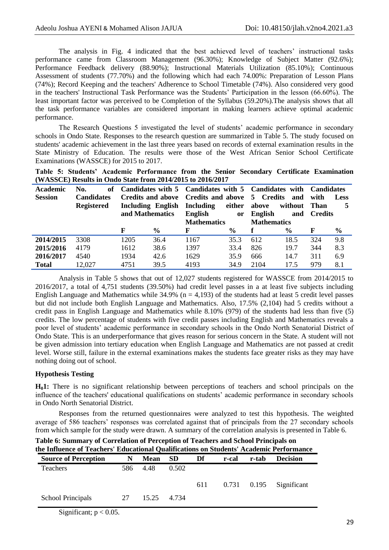The analysis in Fig. 4 indicated that the best achieved level of teachers' instructional tasks performance came from Classroom Management (96.30%); Knowledge of Subject Matter (92.6%); Performance Feedback delivery (88.90%); Instructional Materials Utilization (85.10%); Continuous Assessment of students (77.70%) and the following which had each 74.00%: Preparation of Lesson Plans (74%); Record Keeping and the teachers' Adherence to School Timetable (74%). Also considered very good in the teachers' Instructional Task Performance was the Students' Participation in the lesson (66.60%). The least important factor was perceived to be Completion of the Syllabus (59.20%).The analysis shows that all the task performance variables are considered important in making learners achieve optimal academic performance.

The Research Questions 5 investigated the level of students' academic performance in secondary schools in Ondo State. Responses to the research question are summarized in Table 5. The study focused on students' academic achievement in the last three years based on records of external examination results in the State Ministry of Education. The results were those of the West African Senior School Certificate Examinations (WASSCE) for 2015 to 2017.

|  |  | Table 5: Students' Academic Performance from the Senior Secondary Certificate Examination |  |  |  |
|--|--|-------------------------------------------------------------------------------------------|--|--|--|
|  |  | (WASSCE) Results in Ondo State from 2014/2015 to 2016/2017                                |  |  |  |

| <b>Academic</b><br><b>Session</b> | No.<br>of<br><b>Candidates</b><br><b>Registered</b> | and Mathematics | <b>Including English</b> | Candidates with 5 Candidates with 5 Candidates with Candidates<br>Credits and above Credits and above 5 Credits<br><b>Including</b><br>English<br><b>Mathematics</b> | either<br><b>or</b> | above<br>English<br><b>Mathematics</b> | and<br>without Than<br>and | with<br><b>Credits</b> | <b>Less</b>   |
|-----------------------------------|-----------------------------------------------------|-----------------|--------------------------|----------------------------------------------------------------------------------------------------------------------------------------------------------------------|---------------------|----------------------------------------|----------------------------|------------------------|---------------|
|                                   |                                                     | F               | $\frac{6}{9}$            | F                                                                                                                                                                    | $\frac{6}{9}$       |                                        | $\frac{0}{0}$              | F                      | $\frac{6}{6}$ |
| 2014/2015                         | 3308                                                | 1205            | 36.4                     | 1167                                                                                                                                                                 | 35.3                | 612                                    | 18.5                       | 324                    | 9.8           |
| 2015/2016                         | 4179                                                | 1612            | 38.6                     | 1397                                                                                                                                                                 | 33.4                | 826                                    | 19.7                       | 344                    | 8.3           |
| 2016/2017                         | 4540                                                | 1934            | 42.6                     | 1629                                                                                                                                                                 | 35.9                | 666                                    | 14.7                       | 311                    | 6.9           |
| <b>Total</b>                      | 12,027                                              | 4751            | 39.5                     | 4193                                                                                                                                                                 | 34.9                | 2104                                   | 17.5                       | 979                    | 8.1           |

Analysis in Table 5 shows that out of 12,027 students registered for WASSCE from 2014/2015 to 2016/2017, a total of 4,751 students (39.50%) had credit level passes in a at least five subjects including English Language and Mathematics while  $34.9\%$  (n = 4,193) of the students had at least 5 credit level passes but did not include both English Language and Mathematics. Also, 17.5% (2,104) had 5 credits without a credit pass in English Language and Mathematics while 8.10% (979) of the students had less than five (5) credits. The low percentage of students with five credit passes including English and Mathematics reveals a poor level of students' academic performance in secondary schools in the Ondo North Senatorial District of Ondo State. This is an underperformance that gives reason for serious concern in the State. A student will not be given admission into tertiary education when English Language and Mathematics are not passed at credit level. Worse still, failure in the external examinations makes the students face greater risks as they may have nothing doing out of school.

# **Hypothesis Testing**

**H01:** There is no significant relationship between perceptions of teachers and school principals on the influence of the teachers' educational qualifications on students' academic performance in secondary schools in Ondo North Senatorial District.

Responses from the returned questionnaires were analyzed to test this hypothesis. The weighted average of 586 teachers' responses was correlated against that of principals from the 27 secondary schools from which sample for the study were drawn. A summary of the correlation analysis is presented in Table 6.

| <b>Source of Perception</b> | N   | <b>Mean</b> | <b>SD</b> | Df  | r-cal | r-tab           | <b>Decision</b> |
|-----------------------------|-----|-------------|-----------|-----|-------|-----------------|-----------------|
| Teachers                    | 586 | 4.48        | 0.502     |     |       |                 |                 |
|                             |     |             |           | 611 |       | $0.731$ $0.195$ | Significant     |
| <b>School Principals</b>    | 27  | 15.25       | 4.734     |     |       |                 |                 |

**Table 6: Summary of Correlation of Perception of Teachers and School Principals on** 

Significant;  $p < 0.05$ .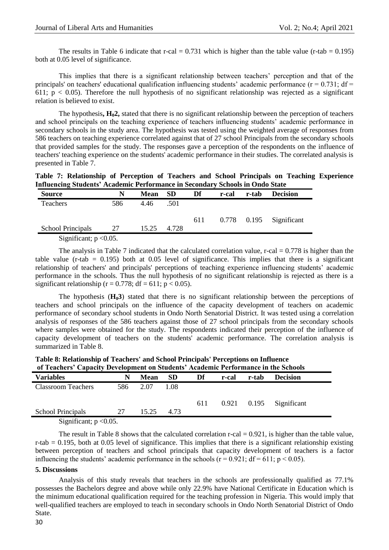The results in Table 6 indicate that r-cal = 0.731 which is higher than the table value (r-tab =  $0.195$ ) both at 0.05 level of significance.

This implies that there is a significant relationship between teachers' perception and that of the principals' on teachers' educational qualification influencing students' academic performance ( $r = 0.731$ ; df = 611;  $p < 0.05$ ). Therefore the null hypothesis of no significant relationship was rejected as a significant relation is believed to exist.

The hypothesis**, H02,** stated that there is no significant relationship between the perception of teachers and school principals on the teaching experience of teachers influencing students' academic performance in secondary schools in the study area. The hypothesis was tested using the weighted average of responses from 586 teachers on teaching experience correlated against that of 27 school Principals from the secondary schools that provided samples for the study. The responses gave a perception of the respondents on the influence of teachers' teaching experience on the students' academic performance in their studies. The correlated analysis is presented in Table 7.

| Table 7: Relationship of Perception of Teachers and School Principals on Teaching Experience |  |  |  |  |  |
|----------------------------------------------------------------------------------------------|--|--|--|--|--|
| <b>Influencing Students' Academic Performance in Secondary Schools in Ondo State</b>         |  |  |  |  |  |

| <b>Source</b>             | N   | <b>Mean</b> | <b>SD</b> | Df  | r-cal | r-tab | <b>Decision</b>           |
|---------------------------|-----|-------------|-----------|-----|-------|-------|---------------------------|
| Teachers                  | 586 | 4.46        | .501      |     |       |       |                           |
|                           |     |             |           |     |       |       |                           |
|                           |     |             |           | 611 |       |       | $0.778$ 0.195 Significant |
| School Principals         | 27  | 15.25       | 4.728     |     |       |       |                           |
| Significant; $p < 0.05$ . |     |             |           |     |       |       |                           |

The analysis in Table 7 indicated that the calculated correlation value, r-cal  $= 0.778$  is higher than the table value (r-tab =  $0.195$ ) both at  $0.05$  level of significance. This implies that there is a significant relationship of teachers' and principals' perceptions of teaching experience influencing students' academic performance in the schools. Thus the null hypothesis of no significant relationship is rejected as there is a significant relationship ( $r = 0.778$ ; df = 611;  $p < 0.05$ ).

The hypothesis (**H03**) stated that there is no significant relationship between the perceptions of teachers and school principals on the influence of the capacity development of teachers on academic performance of secondary school students in Ondo North Senatorial District. It was tested using a correlation analysis of responses of the 586 teachers against those of 27 school principals from the secondary schools where samples were obtained for the study. The respondents indicated their perception of the influence of capacity development of teachers on the students' academic performance. The correlation analysis is summarized in Table 8.

| of Teachers' Capacity Development on Students' Academic Performance in the Schools |     |       |      |     |       |       |                             |
|------------------------------------------------------------------------------------|-----|-------|------|-----|-------|-------|-----------------------------|
| <b>Variables</b>                                                                   | N   | Mean  | -SD  | Df  | r-cal | r-tab | <b>Decision</b>             |
| <b>Classroom Teachers</b>                                                          | 586 | 2.07  | 1.08 |     |       |       |                             |
|                                                                                    |     |       |      | 611 |       |       | $0.921$ $0.195$ Significant |
| School Principals                                                                  |     | 15.25 | 4.73 |     |       |       |                             |
| $\alpha$ , $\alpha$ , $\alpha$ , $\alpha$                                          |     |       |      |     |       |       |                             |

**Table 8: Relationship of Teachers' and School Principals' Perceptions on Influence**

Significant;  $p < 0.05$ .

The result in Table 8 shows that the calculated correlation  $r$ -cal  $= 0.921$ , is higher than the table value, r-tab  $= 0.195$ , both at 0.05 level of significance. This implies that there is a significant relationship existing between perception of teachers and school principals that capacity development of teachers is a factor influencing the students' academic performance in the schools ( $\vec{r} = 0.921$ ; df = 611; p < 0.05).

#### **5. Discussions**

Analysis of this study reveals that teachers in the schools are professionally qualified as 77.1% possesses the Bachelors degree and above while only 22.9% have National Certificate in Education which is the minimum educational qualification required for the teaching profession in Nigeria. This would imply that well-qualified teachers are employed to teach in secondary schools in Ondo North Senatorial District of Ondo State.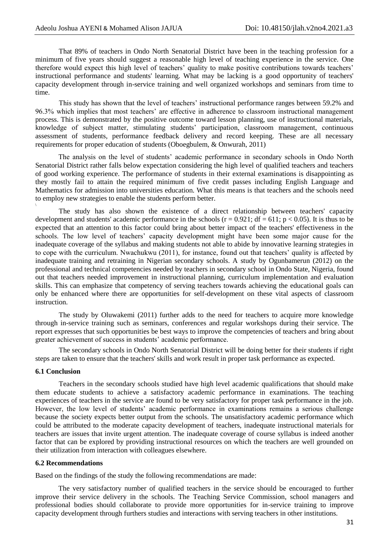That 89% of teachers in Ondo North Senatorial District have been in the teaching profession for a minimum of five years should suggest a reasonable high level of teaching experience in the service. One therefore would expect this high level of teachers' quality to make positive contributions towards teachers' instructional performance and students' learning. What may be lacking is a good opportunity of teachers' capacity development through in-service training and well organized workshops and seminars from time to time.

This study has shown that the level of teachers' instructional performance ranges between 59.2% and 96.3% which implies that most teachers' are effective in adherence to classroom instructional management process. This is demonstrated by the positive outcome toward lesson planning, use of instructional materials, knowledge of subject matter, stimulating students' participation, classroom management, continuous assessment of students, performance feedback delivery and record keeping. These are all necessary requirements for proper education of students (Oboegbulem, & Onwurah, 2011)

The analysis on the level of students' academic performance in secondary schools in Ondo North Senatorial District rather falls below expectation considering the high level of qualified teachers and teachers of good working experience. The performance of students in their external examinations is disappointing as they mostly fail to attain the required minimum of five credit passes including English Language and Mathematics for admission into universities education. What this means is that teachers and the schools need to employ new strategies to enable the students perform better.

The study has also shown the existence of a direct relationship between teachers' capacity development and students' academic performance in the schools  $(r = 0.921$ ;  $df = 611$ ;  $p < 0.05$ ). It is thus to be expected that an attention to this factor could bring about better impact of the teachers' effectiveness in the schools. The low level of teachers' capacity development might have been some major cause for the inadequate coverage of the syllabus and making students not able to abide by innovative learning strategies in to cope with the curriculum. Nwachukwu (2011), for instance, found out that teachers' quality is affected by inadequate training and retraining in Nigerian secondary schools. A study by Ogunbamerun (2012) on the professional and technical competencies needed by teachers in secondary school in Ondo State, Nigeria, found out that teachers needed improvement in instructional planning, curriculum implementation and evaluation skills. This can emphasize that competency of serving teachers towards achieving the educational goals can only be enhanced where there are opportunities for self-development on these vital aspects of classroom instruction.

The study by Oluwakemi (2011) further adds to the need for teachers to acquire more knowledge through in-service training such as seminars, conferences and regular workshops during their service. The report expresses that such opportunities be best ways to improve the competencies of teachers and bring about greater achievement of success in students' academic performance.

The secondary schools in Ondo North Senatorial District will be doing better for their students if right steps are taken to ensure that the teachers' skills and work result in proper task performance as expected.

# **6.1 Conclusion**

\

Teachers in the secondary schools studied have high level academic qualifications that should make them educate students to achieve a satisfactory academic performance in examinations. The teaching experiences of teachers in the service are found to be very satisfactory for proper task performance in the job. However, the low level of students' academic performance in examinations remains a serious challenge because the society expects better output from the schools. The unsatisfactory academic performance which could be attributed to the moderate capacity development of teachers, inadequate instructional materials for teachers are issues that invite urgent attention. The inadequate coverage of course syllabus is indeed another factor that can be explored by providing instructional resources on which the teachers are well grounded on their utilization from interaction with colleagues elsewhere.

#### **6.2 Recommendations**

Based on the findings of the study the following recommendations are made:

The very satisfactory number of qualified teachers in the service should be encouraged to further improve their service delivery in the schools. The Teaching Service Commission, school managers and professional bodies should collaborate to provide more opportunities for in-service training to improve capacity development through furthers studies and interactions with serving teachers in other institutions.